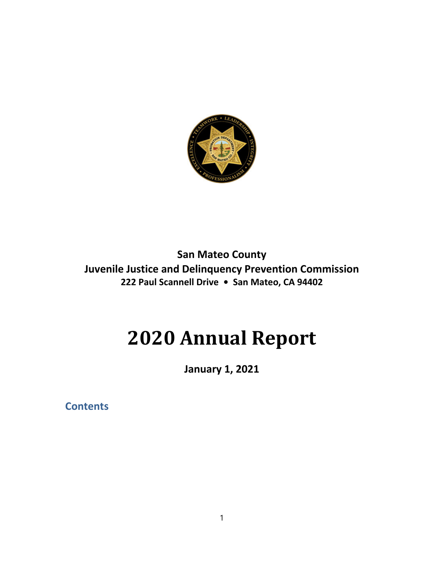

**San Mateo County Juvenile Justice and Delinquency Prevention Commission 222 Paul Scannell Drive • San Mateo, CA 94402**

# **2020 Annual Report**

**January 1, 2021**

**Contents**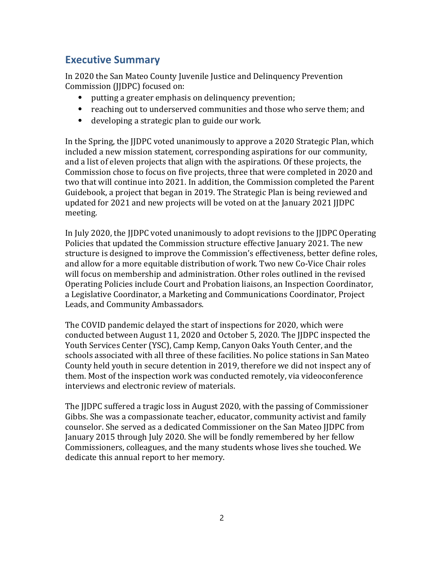# **Executive Summary**

In 2020 the San Mateo County Juvenile Justice and Delinquency Prevention Commission (JJDPC) focused on:

- ⦁ putting a greater emphasis on delinquency prevention;
- ⦁ reaching out to underserved communities and those who serve them; and
- ⦁ developing a strategic plan to guide our work.

In the Spring, the JJDPC voted unanimously to approve a 2020 Strategic Plan, which included a new mission statement, corresponding aspirations for our community, and a list of eleven projects that align with the aspirations. Of these projects, the Commission chose to focus on five projects, three that were completed in 2020 and two that will continue into 2021. In addition, the Commission completed the Parent Guidebook, a project that began in 2019. The Strategic Plan is being reviewed and updated for 2021 and new projects will be voted on at the January 2021 JJDPC meeting.

In July 2020, the JJDPC voted unanimously to adopt revisions to the JJDPC Operating Policies that updated the Commission structure effective January 2021. The new structure is designed to improve the Commission's effectiveness, better define roles, and allow for a more equitable distribution of work. Two new Co-Vice Chair roles will focus on membership and administration. Other roles outlined in the revised Operating Policies include Court and Probation liaisons, an Inspection Coordinator, a Legislative Coordinator, a Marketing and Communications Coordinator, Project Leads, and Community Ambassadors.

The COVID pandemic delayed the start of inspections for 2020, which were conducted between August 11, 2020 and October 5, 2020. The JJDPC inspected the Youth Services Center (YSC), Camp Kemp, Canyon Oaks Youth Center, and the schools associated with all three of these facilities. No police stations in San Mateo County held youth in secure detention in 2019, therefore we did not inspect any of them. Most of the inspection work was conducted remotely, via videoconference interviews and electronic review of materials.

The JJDPC suffered a tragic loss in August 2020, with the passing of Commissioner Gibbs. She was a compassionate teacher, educator, community activist and family counselor. She served as a dedicated Commissioner on the San Mateo JJDPC from January 2015 through July 2020. She will be fondly remembered by her fellow Commissioners, colleagues, and the many students whose lives she touched. We dedicate this annual report to her memory.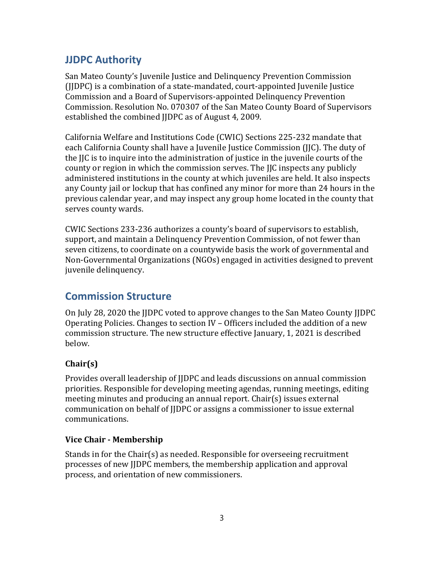# **JJDPC Authority**

San Mateo County's Juvenile Justice and Delinquency Prevention Commission (JJDPC) is a combination of a state-mandated, court-appointed Juvenile Justice Commission and a Board of Supervisors-appointed Delinquency Prevention Commission. Resolution No. 070307 of the San Mateo County Board of Supervisors established the combined JJDPC as of August 4, 2009.

California Welfare and Institutions Code (CWIC) Sections 225-232 mandate that each California County shall have a Juvenile Justice Commission (JJC). The duty of the JJC is to inquire into the administration of justice in the juvenile courts of the county or region in which the commission serves. The JJC inspects any publicly administered institutions in the county at which juveniles are held. It also inspects any County jail or lockup that has confined any minor for more than 24 hours in the previous calendar year, and may inspect any group home located in the county that serves county wards.

CWIC Sections 233-236 authorizes a county's board of supervisors to establish, support, and maintain a Delinquency Prevention Commission, of not fewer than seven citizens, to coordinate on a countywide basis the work of governmental and Non-Governmental Organizations (NGOs) engaged in activities designed to prevent juvenile delinquency.

# **Commission Structure**

On July 28, 2020 the JJDPC voted to approve changes to the San Mateo County JJDPC Operating Policies. Changes to section IV – Officers included the addition of a new commission structure. The new structure effective January, 1, 2021 is described below.

## **Chair(s)**

Provides overall leadership of JJDPC and leads discussions on annual commission priorities. Responsible for developing meeting agendas, running meetings, editing meeting minutes and producing an annual report. Chair(s) issues external communication on behalf of JJDPC or assigns a commissioner to issue external communications.

## **Vice Chair ‐ Membership**

Stands in for the Chair(s) as needed. Responsible for overseeing recruitment processes of new JJDPC members, the membership application and approval process, and orientation of new commissioners.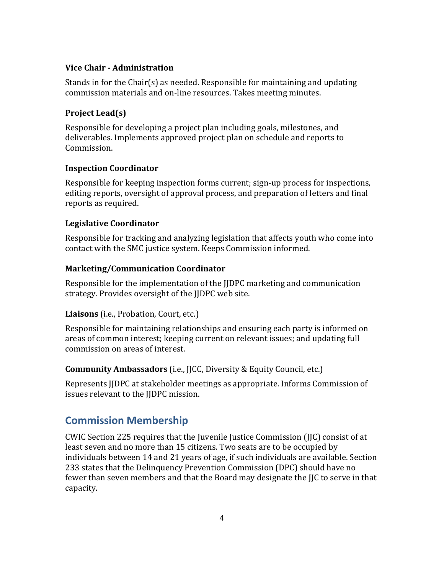#### **Vice Chair ‐ Administration**

Stands in for the Chair(s) as needed. Responsible for maintaining and updating commission materials and on-line resources. Takes meeting minutes.

#### **Project Lead(s)**

Responsible for developing a project plan including goals, milestones, and deliverables. Implements approved project plan on schedule and reports to Commission.

#### **Inspection Coordinator**

Responsible for keeping inspection forms current; sign-up process for inspections, editing reports, oversight of approval process, and preparation of letters and final reports as required.

#### **Legislative Coordinator**

Responsible for tracking and analyzing legislation that affects youth who come into contact with the SMC justice system. Keeps Commission informed.

#### **Marketing/Communication Coordinator**

Responsible for the implementation of the JJDPC marketing and communication strategy. Provides oversight of the JJDPC web site.

#### **Liaisons** (i.e., Probation, Court, etc.)

Responsible for maintaining relationships and ensuring each party is informed on areas of common interest; keeping current on relevant issues; and updating full commission on areas of interest.

#### **Community Ambassadors** (i.e., JJCC, Diversity & Equity Council, etc.)

Represents JJDPC at stakeholder meetings as appropriate. Informs Commission of issues relevant to the JJDPC mission.

## **Commission Membership**

CWIC Section 225 requires that the Juvenile Justice Commission (JJC) consist of at least seven and no more than 15 citizens. Two seats are to be occupied by individuals between 14 and 21 years of age, if such individuals are available. Section 233 states that the Delinquency Prevention Commission (DPC) should have no fewer than seven members and that the Board may designate the JJC to serve in that capacity.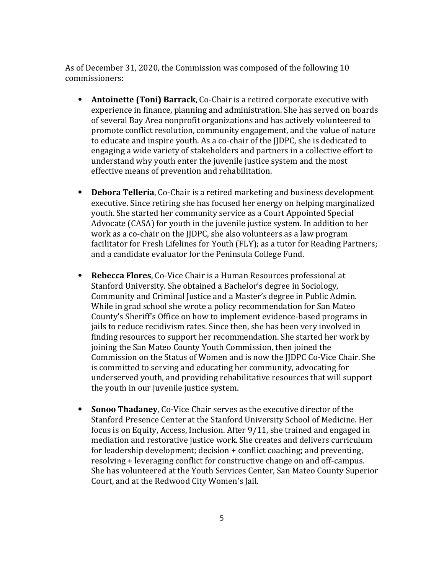As of December 31, 2020, the Commission was composed of the following 10 commissioners:

- ⦁ **Antoinette (Toni) Barrack**, Co-Chair is a retired corporate executive with experience in finance, planning and administration. She has served on boards of several Bay Area nonprofit organizations and has actively volunteered to promote conflict resolution, community engagement, and the value of nature to educate and inspire youth. As a co-chair of the JJDPC, she is dedicated to engaging a wide variety of stakeholders and partners in a collective effort to understand why youth enter the juvenile justice system and the most effective means of prevention and rehabilitation.
- ⦁ **Debora Telleria**, Co-Chair is a retired marketing and business development executive. Since retiring she has focused her energy on helping marginalized youth. She started her community service as a Court Appointed Special Advocate (CASA) for youth in the juvenile justice system. In addition to her work as a co-chair on the JJDPC, she also volunteers as a law program facilitator for Fresh Lifelines for Youth (FLY); as a tutor for Reading Partners; and a candidate evaluator for the Peninsula College Fund.
- ⦁ **Rebecca Flores**, Co-Vice Chair is a Human Resources professional at Stanford University. She obtained a Bachelor's degree in Sociology, Community and Criminal Justice and a Master's degree in Public Admin. While in grad school she wrote a policy recommendation for San Mateo County's Sheriff's Office on how to implement evidence-based programs in jails to reduce recidivism rates. Since then, she has been very involved in finding resources to support her recommendation. She started her work by joining the San Mateo County Youth Commission, then joined the Commission on the Status of Women and is now the JJDPC Co-Vice Chair. She is committed to serving and educating her community, advocating for underserved youth, and providing rehabilitative resources that will support the youth in our juvenile justice system.
- ⦁ **Sonoo Thadaney**, Co-Vice Chair serves as the executive director of the Stanford Presence Center at the Stanford University School of Medicine. Her focus is on Equity, Access, Inclusion. After 9/11, she trained and engaged in mediation and restorative justice work. She creates and delivers curriculum for leadership development; decision + conflict coaching; and preventing, resolving + leveraging conflict for constructive change on and off-campus. She has volunteered at the Youth Services Center, San Mateo County Superior Court, and at the Redwood City Women's Jail.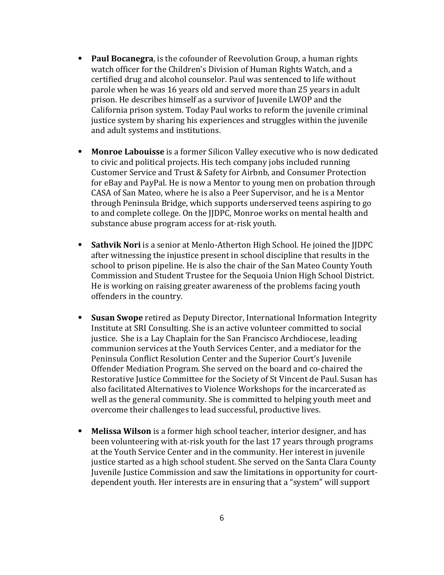- ⦁ **Paul Bocanegra**, is the cofounder of Reevolution Group, a human rights watch officer for the Children's Division of Human Rights Watch, and a certified drug and alcohol counselor. Paul was sentenced to life without parole when he was 16 years old and served more than 25 years in adult prison. He describes himself as a survivor of Juvenile LWOP and the California prison system. Today Paul works to reform the juvenile criminal justice system by sharing his experiences and struggles within the juvenile and adult systems and institutions.
- ⦁ **Monroe Labouisse** is a former Silicon Valley executive who is now dedicated to civic and political projects. His tech company jobs included running Customer Service and Trust & Safety for Airbnb, and Consumer Protection for eBay and PayPal. He is now a Mentor to young men on probation through CASA of San Mateo, where he is also a Peer Supervisor, and he is a Mentor through Peninsula Bridge, which supports underserved teens aspiring to go to and complete college. On the JJDPC, Monroe works on mental health and substance abuse program access for at-risk youth.
- ⦁ **Sathvik Nori** is a senior at Menlo-Atherton High School. He joined the JJDPC after witnessing the injustice present in school discipline that results in the school to prison pipeline. He is also the chair of the San Mateo County Youth Commission and Student Trustee for the Sequoia Union High School District. He is working on raising greater awareness of the problems facing youth offenders in the country.
- ⦁ **Susan Swope** retired as Deputy Director, International Information Integrity Institute at SRI Consulting. She is an active volunteer committed to social justice. She is a Lay Chaplain for the San Francisco Archdiocese, leading communion services at the Youth Services Center, and a mediator for the Peninsula Conflict Resolution Center and the Superior Court's Juvenile Offender Mediation Program. She served on the board and co-chaired the Restorative Justice Committee for the Society of St Vincent de Paul. Susan has also facilitated Alternatives to Violence Workshops for the incarcerated as well as the general community. She is committed to helping youth meet and overcome their challenges to lead successful, productive lives.
- ⦁ **Melissa Wilson** is a former high school teacher, interior designer, and has been volunteering with at-risk youth for the last 17 years through programs at the Youth Service Center and in the community. Her interest in juvenile justice started as a high school student. She served on the Santa Clara County Juvenile Justice Commission and saw the limitations in opportunity for courtdependent youth. Her interests are in ensuring that a "system" will support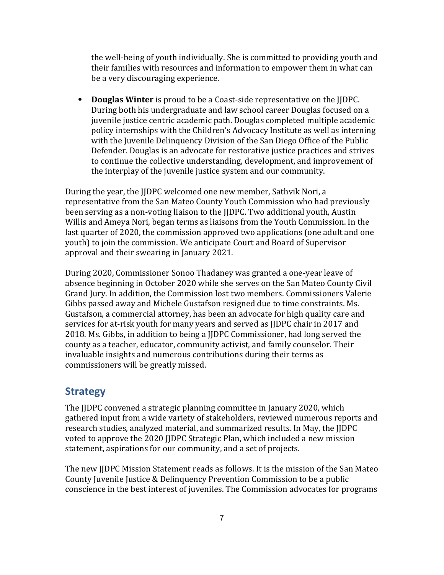the well-being of youth individually. She is committed to providing youth and their families with resources and information to empower them in what can be a very discouraging experience.

⦁ **Douglas Winter** is proud to be a Coast-side representative on the JJDPC. During both his undergraduate and law school career Douglas focused on a juvenile justice centric academic path. Douglas completed multiple academic policy internships with the Children's Advocacy Institute as well as interning with the Juvenile Delinquency Division of the San Diego Office of the Public Defender. Douglas is an advocate for restorative justice practices and strives to continue the collective understanding, development, and improvement of the interplay of the juvenile justice system and our community.

During the year, the JJDPC welcomed one new member, Sathvik Nori, a representative from the San Mateo County Youth Commission who had previously been serving as a non-voting liaison to the JJDPC. Two additional youth, Austin Willis and Ameya Nori, began terms as liaisons from the Youth Commission. In the last quarter of 2020, the commission approved two applications (one adult and one youth) to join the commission. We anticipate Court and Board of Supervisor approval and their swearing in January 2021.

During 2020, Commissioner Sonoo Thadaney was granted a one-year leave of absence beginning in October 2020 while she serves on the San Mateo County Civil Grand Jury. In addition, the Commission lost two members. Commissioners Valerie Gibbs passed away and Michele Gustafson resigned due to time constraints. Ms. Gustafson, a commercial attorney, has been an advocate for high quality care and services for at-risk youth for many years and served as IIDPC chair in 2017 and 2018. Ms. Gibbs, in addition to being a JJDPC Commissioner, had long served the county as a teacher, educator, community activist, and family counselor. Their invaluable insights and numerous contributions during their terms as commissioners will be greatly missed.

## **Strategy**

The JJDPC convened a strategic planning committee in January 2020, which gathered input from a wide variety of stakeholders, reviewed numerous reports and research studies, analyzed material, and summarized results. In May, the JJDPC voted to approve the 2020 JJDPC Strategic Plan, which included a new mission statement, aspirations for our community, and a set of projects.

The new JJDPC Mission Statement reads as follows. It is the mission of the San Mateo County Juvenile Justice & Delinquency Prevention Commission to be a public conscience in the best interest of juveniles. The Commission advocates for programs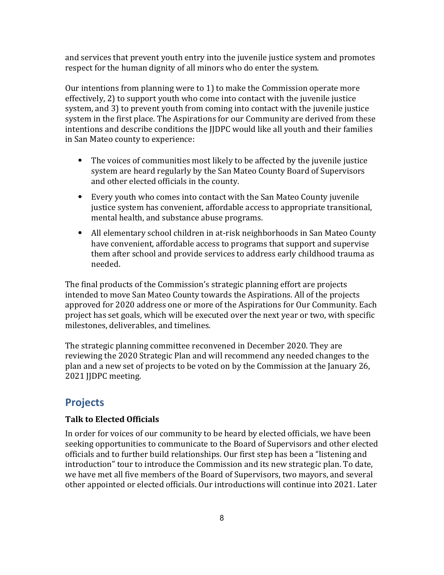and services that prevent youth entry into the juvenile justice system and promotes respect for the human dignity of all minors who do enter the system.

Our intentions from planning were to 1) to make the Commission operate more effectively, 2) to support youth who come into contact with the juvenile justice system, and 3) to prevent youth from coming into contact with the juvenile justice system in the first place. The Aspirations for our Community are derived from these intentions and describe conditions the JJDPC would like all youth and their families in San Mateo county to experience:

- ⦁ The voices of communities most likely to be affected by the juvenile justice system are heard regularly by the San Mateo County Board of Supervisors and other elected officials in the county.
- ⦁ Every youth who comes into contact with the San Mateo County juvenile justice system has convenient, affordable access to appropriate transitional, mental health, and substance abuse programs.
- ⦁ All elementary school children in at-risk neighborhoods in San Mateo County have convenient, affordable access to programs that support and supervise them after school and provide services to address early childhood trauma as needed.

The final products of the Commission's strategic planning effort are projects intended to move San Mateo County towards the Aspirations. All of the projects approved for 2020 address one or more of the Aspirations for Our Community. Each project has set goals, which will be executed over the next year or two, with specific milestones, deliverables, and timelines.

The strategic planning committee reconvened in December 2020. They are reviewing the 2020 Strategic Plan and will recommend any needed changes to the plan and a new set of projects to be voted on by the Commission at the January 26, 2021 JJDPC meeting.

# **Projects**

#### **Talk to Elected Officials**

In order for voices of our community to be heard by elected officials, we have been seeking opportunities to communicate to the Board of Supervisors and other elected officials and to further build relationships. Our first step has been a "listening and introduction" tour to introduce the Commission and its new strategic plan. To date, we have met all five members of the Board of Supervisors, two mayors, and several other appointed or elected officials. Our introductions will continue into 2021. Later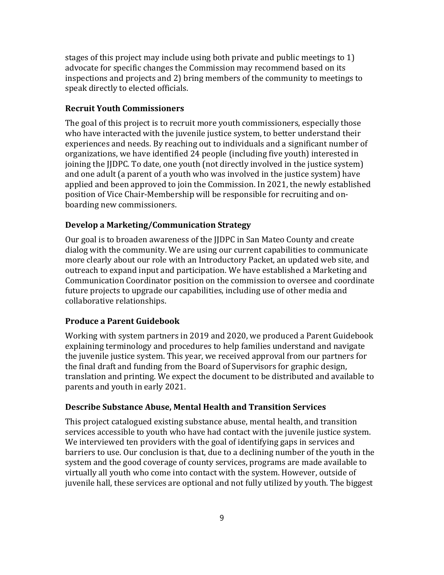stages of this project may include using both private and public meetings to 1) advocate for specific changes the Commission may recommend based on its inspections and projects and 2) bring members of the community to meetings to speak directly to elected officials.

#### **Recruit Youth Commissioners**

The goal of this project is to recruit more youth commissioners, especially those who have interacted with the juvenile justice system, to better understand their experiences and needs. By reaching out to individuals and a significant number of organizations, we have identified 24 people (including five youth) interested in joining the JJDPC. To date, one youth (not directly involved in the justice system) and one adult (a parent of a youth who was involved in the justice system) have applied and been approved to join the Commission. In 2021, the newly established position of Vice Chair-Membership will be responsible for recruiting and onboarding new commissioners.

#### **Develop a Marketing/Communication Strategy**

Our goal is to broaden awareness of the JJDPC in San Mateo County and create dialog with the community. We are using our current capabilities to communicate more clearly about our role with an Introductory Packet, an updated web site, and outreach to expand input and participation. We have established a Marketing and Communication Coordinator position on the commission to oversee and coordinate future projects to upgrade our capabilities, including use of other media and collaborative relationships.

#### **Produce a Parent Guidebook**

Working with system partners in 2019 and 2020, we produced a Parent Guidebook explaining terminology and procedures to help families understand and navigate the juvenile justice system. This year, we received approval from our partners for the final draft and funding from the Board of Supervisors for graphic design, translation and printing. We expect the document to be distributed and available to parents and youth in early 2021.

#### **Describe Substance Abuse, Mental Health and Transition Services**

This project catalogued existing substance abuse, mental health, and transition services accessible to youth who have had contact with the juvenile justice system. We interviewed ten providers with the goal of identifying gaps in services and barriers to use. Our conclusion is that, due to a declining number of the youth in the system and the good coverage of county services, programs are made available to virtually all youth who come into contact with the system. However, outside of juvenile hall, these services are optional and not fully utilized by youth. The biggest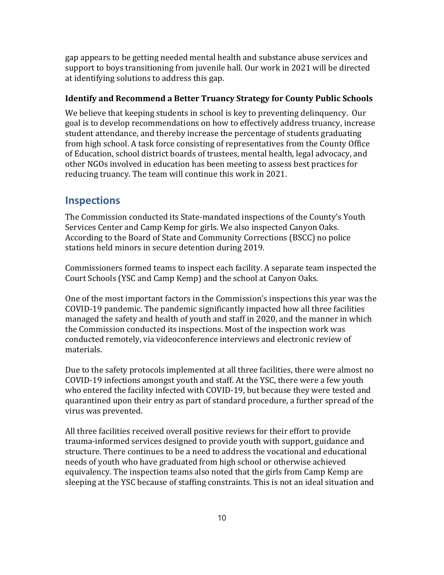gap appears to be getting needed mental health and substance abuse services and support to boys transitioning from juvenile hall. Our work in 2021 will be directed at identifying solutions to address this gap.

#### **Identify and Recommend a Better Truancy Strategy for County Public Schools**

We believe that keeping students in school is key to preventing delinquency. Our goal is to develop recommendations on how to effectively address truancy, increase student attendance, and thereby increase the percentage of students graduating from high school. A task force consisting of representatives from the County Office of Education, school district boards of trustees, mental health, legal advocacy, and other NGOs involved in education has been meeting to assess best practices for reducing truancy. The team will continue this work in 2021.

## **Inspections**

The Commission conducted its State-mandated inspections of the County's Youth Services Center and Camp Kemp for girls. We also inspected Canyon Oaks. According to the Board of State and Community Corrections (BSCC) no police stations held minors in secure detention during 2019.

Commissioners formed teams to inspect each facility. A separate team inspected the Court Schools (YSC and Camp Kemp) and the school at Canyon Oaks.

One of the most important factors in the Commission's inspections this year was the COVID-19 pandemic. The pandemic significantly impacted how all three facilities managed the safety and health of youth and staff in 2020, and the manner in which the Commission conducted its inspections. Most of the inspection work was conducted remotely, via videoconference interviews and electronic review of materials.

Due to the safety protocols implemented at all three facilities, there were almost no COVID-19 infections amongst youth and staff. At the YSC, there were a few youth who entered the facility infected with COVID-19, but because they were tested and quarantined upon their entry as part of standard procedure, a further spread of the virus was prevented.

All three facilities received overall positive reviews for their effort to provide trauma-informed services designed to provide youth with support, guidance and structure. There continues to be a need to address the vocational and educational needs of youth who have graduated from high school or otherwise achieved equivalency. The inspection teams also noted that the girls from Camp Kemp are sleeping at the YSC because of staffing constraints. This is not an ideal situation and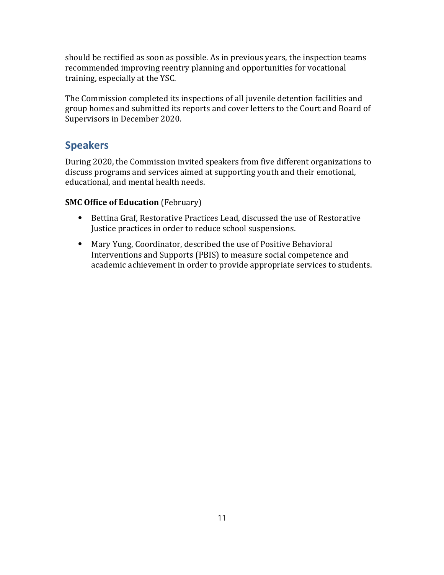should be rectified as soon as possible. As in previous years, the inspection teams recommended improving reentry planning and opportunities for vocational training, especially at the YSC.

The Commission completed its inspections of all juvenile detention facilities and group homes and submitted its reports and cover letters to the Court and Board of Supervisors in December 2020.

# **Speakers**

During 2020, the Commission invited speakers from five different organizations to discuss programs and services aimed at supporting youth and their emotional, educational, and mental health needs.

## **SMC Office of Education** (February)

- ⦁ Bettina Graf, Restorative Practices Lead, discussed the use of Restorative Justice practices in order to reduce school suspensions.
- ⦁ Mary Yung, Coordinator, described the use of Positive Behavioral Interventions and Supports (PBIS) to measure social competence and academic achievement in order to provide appropriate services to students.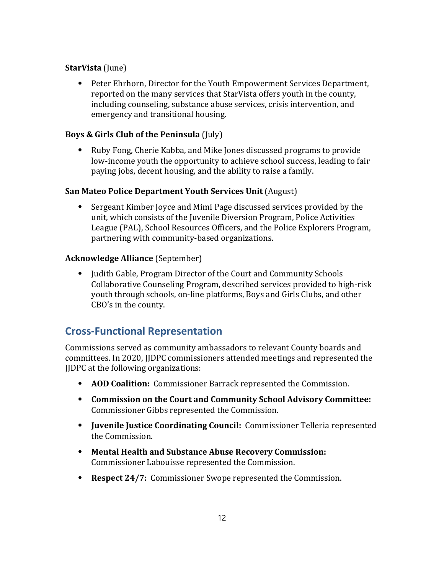## **StarVista** (June)

⦁ Peter Ehrhorn, Director for the Youth Empowerment Services Department, reported on the many services that StarVista offers youth in the county, including counseling, substance abuse services, crisis intervention, and emergency and transitional housing.

## **Boys & Girls Club of the Peninsula** (July)

⦁ Ruby Fong, Cherie Kabba, and Mike Jones discussed programs to provide low-income youth the opportunity to achieve school success, leading to fair paying jobs, decent housing, and the ability to raise a family.

#### **San Mateo Police Department Youth Services Unit** (August)

⦁ Sergeant Kimber Joyce and Mimi Page discussed services provided by the unit, which consists of the Juvenile Diversion Program, Police Activities League (PAL), School Resources Officers, and the Police Explorers Program, partnering with community-based organizations.

#### **Acknowledge Alliance** (September)

⦁ Judith Gable, Program Director of the Court and Community Schools Collaborative Counseling Program, described services provided to high-risk youth through schools, on-line platforms, Boys and Girls Clubs, and other CBO's in the county.

# **Cross‐Functional Representation**

Commissions served as community ambassadors to relevant County boards and committees. In 2020, JJDPC commissioners attended meetings and represented the JJDPC at the following organizations:

- ⦁ **AOD Coalition:** Commissioner Barrack represented the Commission.
- ⦁ **Commission on the Court and Community School Advisory Committee:**  Commissioner Gibbs represented the Commission.
- ⦁ **Juvenile Justice Coordinating Council:** Commissioner Telleria represented the Commission.
- ⦁ **Mental Health and Substance Abuse Recovery Commission:**  Commissioner Labouisse represented the Commission.
- ⦁ **Respect 24/7:** Commissioner Swope represented the Commission.